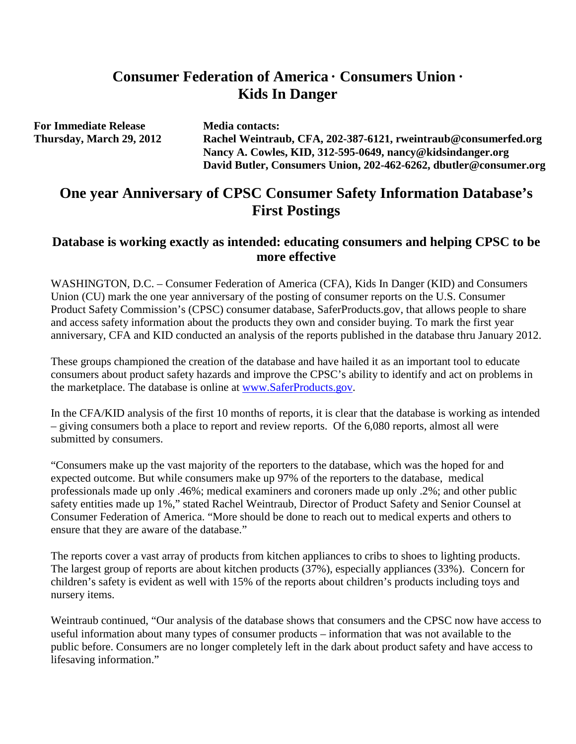# **Consumer Federation of America · Consumers Union · Kids In Danger**

**For Immediate Release Media contacts:** 

**Thursday, March 29, 2012 Rachel Weintraub, CFA, 202-387-6121, rweintraub@consumerfed.org Nancy A. Cowles, KID, 312-595-0649, [nancy@kidsindanger.org](mailto:nancy@kidsindanger.org) David Butler, Consumers Union, 202-462-6262, [dbutler@consumer.org](mailto:dbutler@consumer.org)**

# **One year Anniversary of CPSC Consumer Safety Information Database's First Postings**

### **Database is working exactly as intended: educating consumers and helping CPSC to be more effective**

WASHINGTON, D.C. – Consumer Federation of America (CFA), Kids In Danger (KID) and Consumers Union (CU) mark the one year anniversary of the posting of consumer reports on the U.S. Consumer Product Safety Commission's (CPSC) consumer database, SaferProducts.gov, that allows people to share and access safety information about the products they own and consider buying. To mark the first year anniversary, CFA and KID conducted an analysis of the reports published in the database thru January 2012.

These groups championed the creation of the database and have hailed it as an important tool to educate consumers about product safety hazards and improve the CPSC's ability to identify and act on problems in the marketplace. The database is online at [www.SaferProducts.gov.](http://www.saferproducts.gov/)

In the CFA/KID analysis of the first 10 months of reports, it is clear that the database is working as intended – giving consumers both a place to report and review reports. Of the 6,080 reports, almost all were submitted by consumers.

"Consumers make up the vast majority of the reporters to the database, which was the hoped for and expected outcome. But while consumers make up 97% of the reporters to the database, medical professionals made up only .46%; medical examiners and coroners made up only .2%; and other public safety entities made up 1%," stated Rachel Weintraub, Director of Product Safety and Senior Counsel at Consumer Federation of America. "More should be done to reach out to medical experts and others to ensure that they are aware of the database."

The reports cover a vast array of products from kitchen appliances to cribs to shoes to lighting products. The largest group of reports are about kitchen products (37%), especially appliances (33%). Concern for children's safety is evident as well with 15% of the reports about children's products including toys and nursery items.

Weintraub continued, "Our analysis of the database shows that consumers and the CPSC now have access to useful information about many types of consumer products – information that was not available to the public before. Consumers are no longer completely left in the dark about product safety and have access to lifesaving information."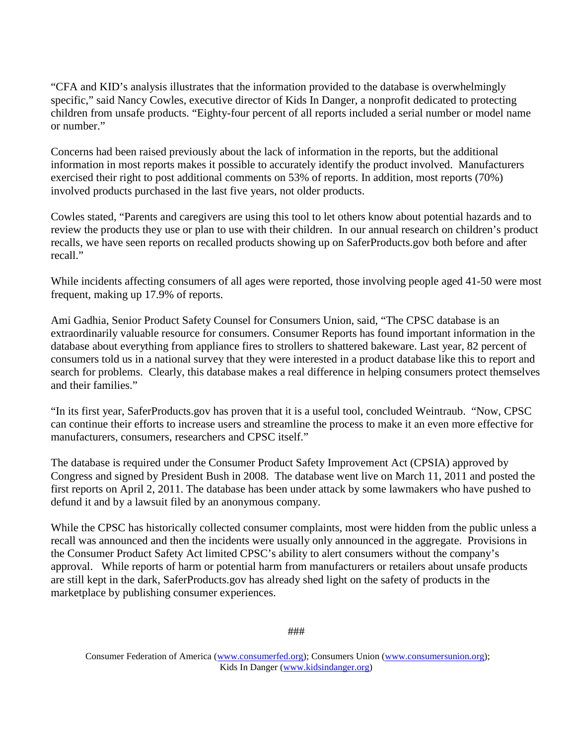"CFA and KID's analysis illustrates that the information provided to the database is overwhelmingly specific," said Nancy Cowles, executive director of Kids In Danger, a nonprofit dedicated to protecting children from unsafe products. "Eighty-four percent of all reports included a serial number or model name or number."

Concerns had been raised previously about the lack of information in the reports, but the additional information in most reports makes it possible to accurately identify the product involved. Manufacturers exercised their right to post additional comments on 53% of reports. In addition, most reports (70%) involved products purchased in the last five years, not older products.

Cowles stated, "Parents and caregivers are using this tool to let others know about potential hazards and to review the products they use or plan to use with their children. In our annual research on children's product recalls, we have seen reports on recalled products showing up on SaferProducts.gov both before and after recall."

While incidents affecting consumers of all ages were reported, those involving people aged 41-50 were most frequent, making up 17.9% of reports.

Ami Gadhia, Senior Product Safety Counsel for Consumers Union, said, "The CPSC database is an extraordinarily valuable resource for consumers. Consumer Reports has found important information in the database about everything from appliance fires to strollers to shattered bakeware. Last year, 82 percent of consumers told us in a national survey that they were interested in a product database like this to report and search for problems. Clearly, this database makes a real difference in helping consumers protect themselves and their families."

"In its first year, SaferProducts.gov has proven that it is a useful tool, concluded Weintraub. "Now, CPSC can continue their efforts to increase users and streamline the process to make it an even more effective for manufacturers, consumers, researchers and CPSC itself."

The database is required under the Consumer Product Safety Improvement Act (CPSIA) approved by Congress and signed by President Bush in 2008. The database went live on March 11, 2011 and posted the first reports on April 2, 2011. The database has been under attack by some lawmakers who have pushed to defund it and by a lawsuit filed by an anonymous company.

While the CPSC has historically collected consumer complaints, most were hidden from the public unless a recall was announced and then the incidents were usually only announced in the aggregate. Provisions in the Consumer Product Safety Act limited CPSC's ability to alert consumers without the company's approval. While reports of harm or potential harm from manufacturers or retailers about unsafe products are still kept in the dark, SaferProducts.gov has already shed light on the safety of products in the marketplace by publishing consumer experiences.

Consumer Federation of America [\(www.consumerfed.org\)](http://www.consumerfed.org/); Consumers Union [\(www.consumersunion.org\)](http://www.consumersunion.org/); Kids In Danger [\(www.kidsindanger.org\)](http://www.kidsindanger.org/)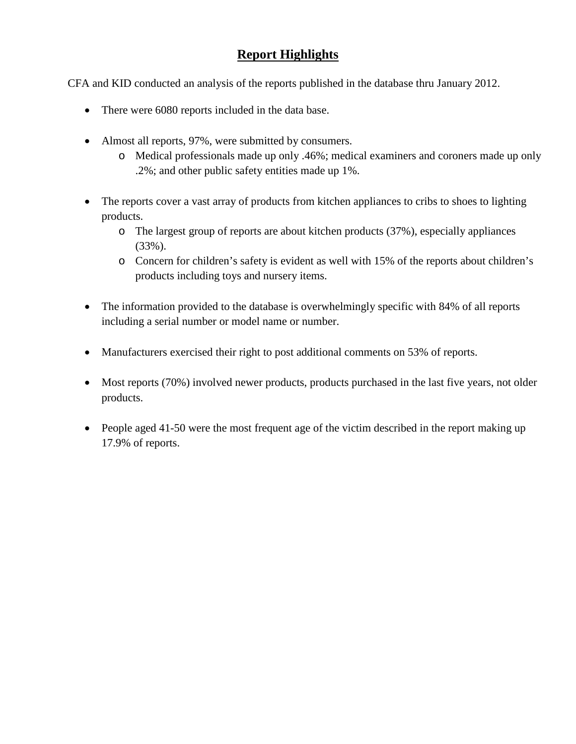## **Report Highlights**

CFA and KID conducted an analysis of the reports published in the database thru January 2012.

- There were 6080 reports included in the data base.
- Almost all reports, 97%, were submitted by consumers.
	- o Medical professionals made up only .46%; medical examiners and coroners made up only .2%; and other public safety entities made up 1%.
- The reports cover a vast array of products from kitchen appliances to cribs to shoes to lighting products.
	- o The largest group of reports are about kitchen products (37%), especially appliances (33%).
	- o Concern for children's safety is evident as well with 15% of the reports about children's products including toys and nursery items.
- The information provided to the database is overwhelmingly specific with 84% of all reports including a serial number or model name or number.
- Manufacturers exercised their right to post additional comments on 53% of reports.
- Most reports (70%) involved newer products, products purchased in the last five years, not older products.
- People aged 41-50 were the most frequent age of the victim described in the report making up 17.9% of reports.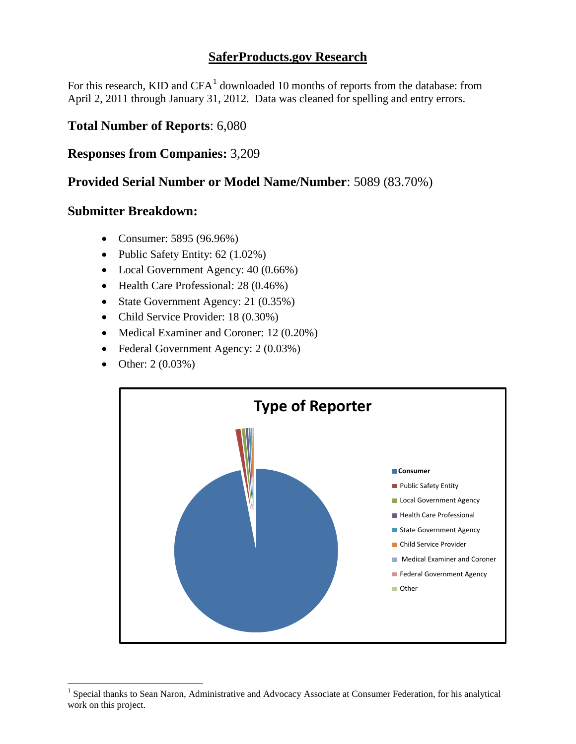### **SaferProducts.gov Research**

For this research,  $KID$  and  $CFA<sup>1</sup>$  $CFA<sup>1</sup>$  $CFA<sup>1</sup>$  downloaded 10 months of reports from the database: from April 2, 2011 through January 31, 2012. Data was cleaned for spelling and entry errors.

### **Total Number of Reports**: 6,080

### **Responses from Companies:** 3,209

### **Provided Serial Number or Model Name/Number**: 5089 (83.70%)

#### **Submitter Breakdown:**

- Consumer: 5895 (96.96%)
- Public Safety Entity: 62 (1.02%)
- Local Government Agency:  $40 (0.66%)$
- Health Care Professional: 28 (0.46%)
- State Government Agency: 21 (0.35%)
- Child Service Provider: 18 (0.30%)
- Medical Examiner and Coroner: 12 (0.20%)
- Federal Government Agency: 2 (0.03%)
- Other: 2 (0.03%)



<span id="page-3-0"></span><sup>&</sup>lt;sup>1</sup> Special thanks to Sean Naron, Administrative and Advocacy Associate at Consumer Federation, for his analytical work on this project.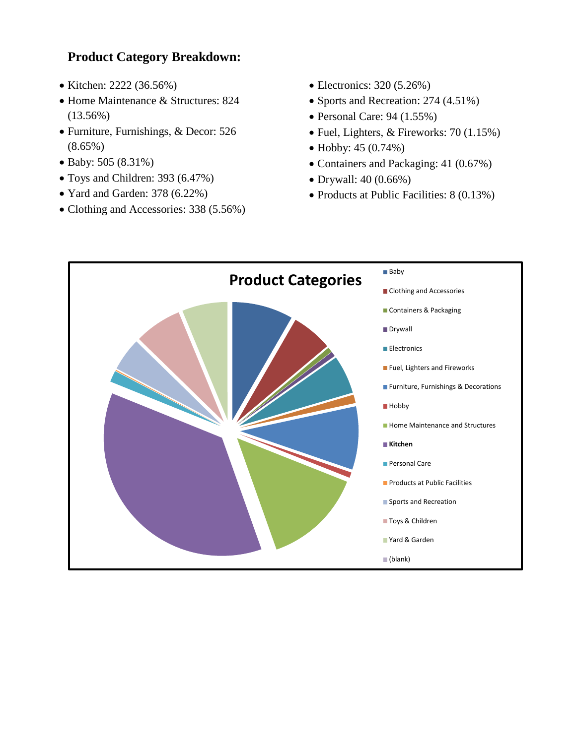## **Product Category Breakdown:**

- Kitchen: 2222 (36.56%)
- Home Maintenance & Structures: 824 (13.56%)
- Furniture, Furnishings, & Decor: 526 (8.65%)
- Baby: 505 (8.31%)
- Toys and Children: 393 (6.47%)
- Yard and Garden: 378 (6.22%)
- Clothing and Accessories: 338 (5.56%)
- Electronics: 320 (5.26%)
- Sports and Recreation: 274 (4.51%)
- Personal Care: 94 (1.55%)
- Fuel, Lighters, & Fireworks: 70 (1.15%)
- Hobby: 45 (0.74%)
- Containers and Packaging: 41 (0.67%)
- Drywall: 40 (0.66%)
- Products at Public Facilities: 8 (0.13%)

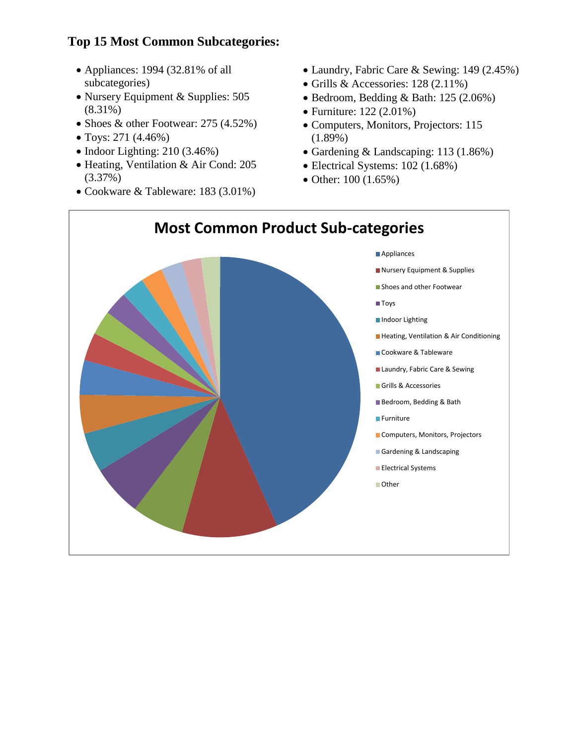# **Top 15 Most Common Subcategories:**

- Appliances: 1994 (32.81% of all subcategories)
- Nursery Equipment & Supplies: 505 (8.31%)
- Shoes & other Footwear: 275 (4.52%)
- Toys: 271 (4.46%)
- Indoor Lighting: 210 (3.46%)
- Heating, Ventilation & Air Cond: 205 (3.37%)
- Cookware & Tableware: 183 (3.01%)
- Laundry, Fabric Care & Sewing: 149 (2.45%)
- Grills & Accessories: 128 (2.11%)
- Bedroom, Bedding & Bath: 125 (2.06%)
- Furniture: 122 (2.01%)
- Computers, Monitors, Projectors: 115 (1.89%)
- Gardening & Landscaping: 113 (1.86%)
- Electrical Systems: 102 (1.68%)
- Other: 100 (1.65%)

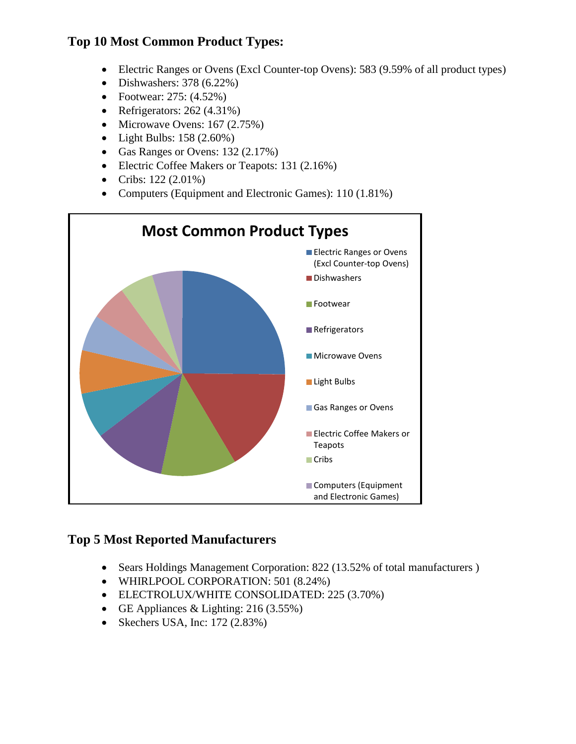## **Top 10 Most Common Product Types:**

- Electric Ranges or Ovens (Excl Counter-top Ovens): 583 (9.59% of all product types)
- Dishwashers:  $378 (6.22\%)$
- Footwear: 275: (4.52%)
- Refrigerators: 262 (4.31%)
- Microwave Ovens: 167 (2.75%)
- Light Bulbs: 158 (2.60%)
- Gas Ranges or Ovens: 132 (2.17%)
- Electric Coffee Makers or Teapots: 131 (2.16%)
- Cribs: 122 (2.01%)
- Computers (Equipment and Electronic Games): 110 (1.81%)



## **Top 5 Most Reported Manufacturers**

- Sears Holdings Management Corporation: 822 (13.52% of total manufacturers)
- WHIRLPOOL CORPORATION: 501 (8.24%)
- ELECTROLUX/WHITE CONSOLIDATED: 225 (3.70%)
- GE Appliances & Lighting: 216 (3.55%)
- Skechers USA, Inc: 172 (2.83%)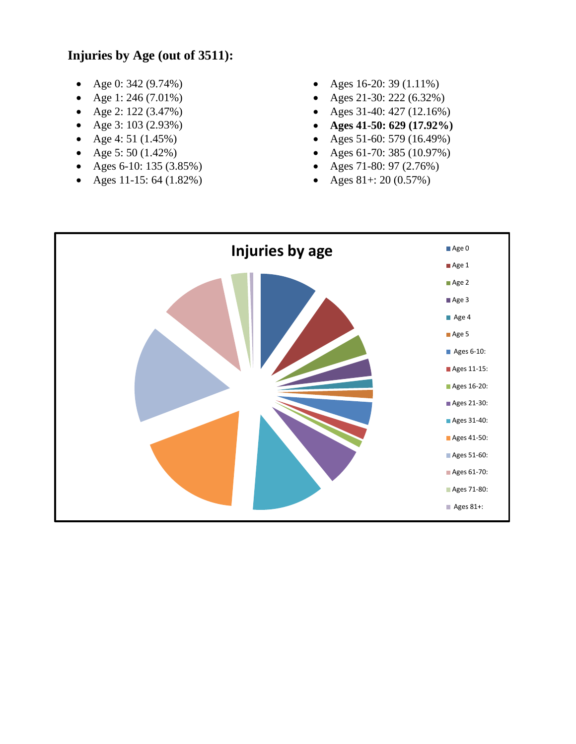## **Injuries by Age (out of 3511):**

- Age 0: 342 (9.74%)
- Age 1: 246 (7.01%)
- Age 2: 122 (3.47%)
- Age 3: 103 (2.93%)
- Age 4:  $51$  (1.45%)
- Age 5: 50  $(1.42\%)$
- Ages 6-10: 135 (3.85%)
- Ages 11-15: 64  $(1.82\%)$
- Ages 16-20: 39 (1.11%)
- Ages 21-30: 222 (6.32%)
- Ages 31-40: 427 (12.16%)
- **Ages 41-50: 629 (17.92%)**
- Ages 51-60: 579 (16.49%)
- Ages 61-70: 385 (10.97%)
- Ages 71-80: 97 (2.76%)
- Ages  $81+:20(0.57%)$